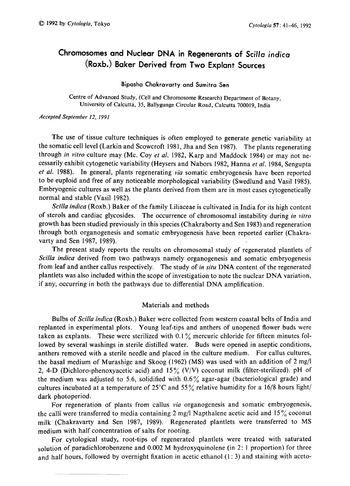# Chromosomes and Nuclear DNA in Regenerants of Scilla indica (Roxb.) Baker Derived from Two Explant Sources

#### Bipasha Chakravarty and Sumitra Sen

Centre of Advanced Study, (Cell and Chromosome Research) Department of Botany, University of Calcutta, 35, Ballygunge Circular Road, Calcutta 700019, India

Accepted September 12, 1991

The use of tissue culture techniques is often employed to generate genetic variability at the somatic cell level (Larkin and Scowcroft 1981, Jha and Sen 1987). The plants regenerating through in vitro culture may (Mc. Coy et al. 1982, Karp and Maddock 1984) or may not necessarily exhibit cytogenetic variability (Heysers and Nabors 1982, Hanna et al. 1984, Sengupta et al. 1988). In general, plants regenerating via somatic embryogenesis have been reported to be euploid and free of any noticeable morphological variability (Swedlund and Vasil 1985). Embryogenic cultures as well as the plants derived from them are in most cases cytogenetically normal and stable (Vasil 1982).

Scilla indica (Roxb.) Baker of the family Liliaceae is cultivated in India for its high content of sterols and cardiac glycosides. The occurrence of chromosomal instability during in vitro growth has been studied previously in this species (Chakraborty and Sen 1983) and regeneration through both organogenesis and somatic embryogenesis have been reported earlier (Chakra varty and Sen 1987, 1989).

The present study reports the results on chromosomal study of regenerated plantlets of Scilla indica derived from two pathways namely organogenesis and somatic embryogenesis from leaf and anther callus respectively. The study of in situ DNA content of the regenerated plantlets was also included within the scope of investigation to note the nuclear DNA variation, if any, occurring in both the pathways due to differential DNA amplification.

# Materials and methods

Bulbs of Scilla indica (Roxb.) Baker were collected from western coastal belts of India and replanted in experimental plots. Young leaf-tips and anthers of unopened flower buds were taken as explants. These were sterilized with  $0.1\%$  mercuric chloride for fifteen minutes followed by several washings in sterile distilled water. Buds were opened in aseptic conditions, anthers removed with a sterile needle and placed in the culture medium. For callus cultures, the basal medium of Murashige and Skoog (1962) (MS) was used with an addition of 2mg/l 2, 4-D (Dichloro-phenoxyacetic acid) and  $15\%$  (V/V) coconut milk (filter-sterilized). pH of the medium was adjusted to 5.6, solidified with  $0.6\%$  agar-agar (bacteriological grade) and cultures incubated at a temperature of  $25^{\circ}$ C and  $55\%$  relative humidity for a 16/8 hours light/ dark photoperiod.

For regeneration of plants from callus via organogenesis and somatic embryogenesis, the calli were transferred to media containing  $2 \text{ mg/l}$  Napthalene acetic acid and  $15\%$  coconut milk (Chakravarty and Sen 1987, 1989). Regenerated plantlets were transferred to MS medium with half concentration of salts for rooting.

For cytological study, root-tips of regenerated plantlets were treated with saturated solution of paradichlorobenzene and 0.002 M hydroxyquinolene (in 2: 1 proportion) for three and half hours, followed by overnight fixation in acetic ethanol  $(1:3)$  and staining with aceto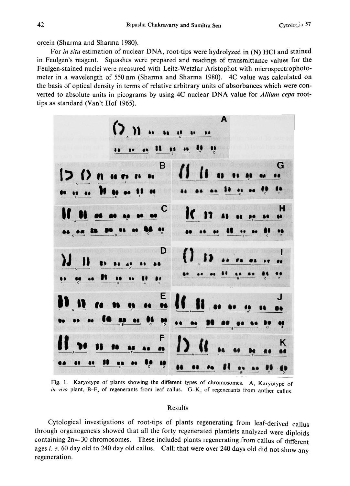orcein (Sharma and Sharma 1980).

For in situ estimation of nuclear DNA, root-tips were hydrolyzed in (N) HCl and stained in Feulgen's reagent. Squashes were prepared and readings of transmittance values for the Feulgen-stained nuclei were measured with Leitz-Wetzlar Aristophot with microspectrophoto meter in a wavelength of 550 nm (Sharma and Sharma 1980). 4C value was calculated on the basis of optical density in terms of relative arbitrary units of absorbances which were con verted to absolute units in picograms by using 4C nuclear DNA value for *Allium cepa* roottips as standard (Van't Hof 1965).



Fig. 1. Karyotype of plants showing the different types of chromosomes. A, Karyotype of in vivo plant, B-F, of regenerants from leaf callus. G-K, of regenerants from anther callus.

## Results

Cytological investigations of root-tips of plants regenerating from leaf-derived callus through organogenesis showed that all the forty regenerated plantlets analyzed were diploids containing  $2n=30$  chromosomes. These included plants regenerating from callus of different ages *i. e.* 60 day old to 240 day old callus. Calli that were over 240 days old did not show any regeneration.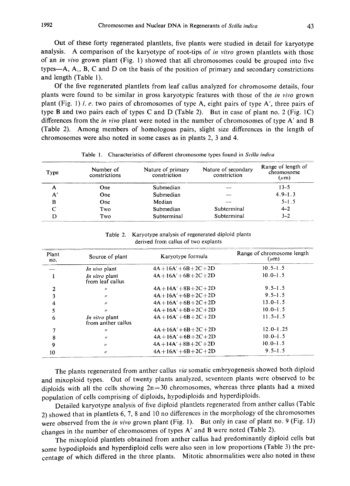Out of these forty regenerated plantlets, five plants were studied in detail for karyotype analysis. A comparison of the karyotype of root-tips of in vitro grown plantlets with those of an in vivo grown plant (Fig. 1) showed that all chromosomes could be grouped into five types—A,  $A_1$ , B, C and D on the basis of the position of primary and secondary constrictions and length (Table 1).

Of the five regenerated plantlets from leaf callus analyzed for chromosome details, four plants were found to be similar in gross karyotypic features with those of the in vivo grown plant (Fig. 1) *i.e.* two pairs of chromosomes of type A, eight pairs of type A', three pairs of type B and two pairs each of types C and D (Table 2). But in case of plant no. 2 (Fig. 1C) differences from the *in vivo* plant were noted in the number of chromosomes of type  $A'$  and B (Table 2). Among members of homologous pairs, slight size differences in the length of chromosomes were also noted in some cases as in plants 2, 3 and 4.

| Type | Number of<br>constrictions | Nature of primary<br>constriction | Nature of secondary<br>constriction | Range of length of<br>chromosome<br>$(\mu m)$ |
|------|----------------------------|-----------------------------------|-------------------------------------|-----------------------------------------------|
|      | One.                       | Submedian                         |                                     | $13 - 5$                                      |
|      | One                        | Submedian                         |                                     | $4.9 - 1.3$                                   |
| в    | One                        | Median                            |                                     | $5 - 1.5$                                     |
|      | Two                        | Submedian                         | Subterminal                         | $4 - 2$                                       |
|      | Two                        | Subterminal                       | Subterminal                         | 3-2                                           |

Table 1. Characteristics of different chromosome types found in Scilla indica

Table 2. Karyotype analysis of regenerated diploid plants derived from callus of two explants

| Plant<br>no. | Source of plant                      | Karyotype formula          | Range of chromosome length<br>$(\mu m)$ |  |
|--------------|--------------------------------------|----------------------------|-----------------------------------------|--|
|              | In vivo plant                        | $4A + 16A' + 6B + 2C + 2D$ | $10.5 - 1.5$                            |  |
|              | In vitro plant<br>from leaf callus   | $4A+16A'+6B+2C+2D$         | $10.0 - 1.5$                            |  |
| 2            | $^{\prime\prime}$                    | $4A + 14A' + 8B + 2C + 2D$ | $9.5 - 1.5$                             |  |
| 3            | $^{\prime\prime}$                    | $4A+16A'+6B+2C+2D$         | $9.5 - 1.5$                             |  |
| 4            | $^{\prime\prime}$                    | $4A + 16A' + 6B + 2C + 2D$ | $13.0 - 1.5$                            |  |
| 5            | $^{\prime\prime}$                    | $4A + 16A' + 6B + 2C + 2D$ | $10.0 - 1.5$                            |  |
| 6            | In vitro plant<br>from anther callus | $4A + 16A' + 6B + 2C + 2D$ | $11.5 - 1.5$                            |  |
|              | $^{\prime\prime}$                    | $4A+16A'+6B+2C+2D$         | $12.0 - 1.25$                           |  |
| 8            | $^{\prime\prime}$                    | $4A+16A'+6B+2C+2D$         | $10.0 - 1.5$                            |  |
| 9            | $^{\prime\prime}$                    | $4A + 14A' + 8B + 2C + 2D$ | $10.0 - 1.5$                            |  |
| 10           | $^{\prime\prime}$                    | $4A + 16A' + 6B + 2C + 2D$ | $9.5 - 1.5$                             |  |

The plants regenerated from anther callus via somatic embryogenesis showed both diploid and mixoploid types. Out of twenty plants analyzed, seventeen plants were observed to be diploids with all the cells showing  $2n=30$  chromosomes, whereas three plants had a mixed population of cells comprising of diploids, hypodiploids and hyperdiploids.

Detailed karyotype analysis of five diploid plantlets regenerated from anther callus (Table 2) showed that in plantlets 6, 7, 8 and 10 no differences in the morphology of the chromosomes were observed from the in vivo grown plant (Fig. 1). But only in case of plant no. 9 (Fig. 1J) changes in the number of chromosomes of types A' and B were noted (Table 2).

The mixoploid plantlets obtained from anther callus had predominantly diploid cells but some hypodiploids and hyperdiploid cells were also seen in low proportions (Table 3) the pre centage of which differed in the three plants. Mitotic abnormalities were also noted in these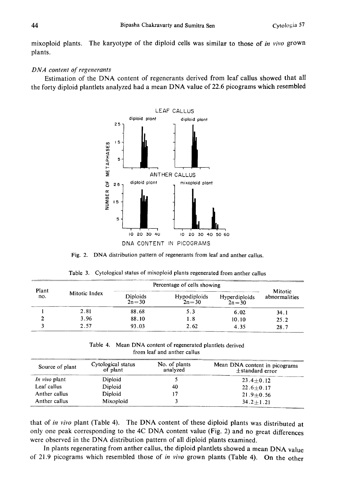mixoploid plants. The karyotype of the diploid cells was similar to those of in vivo grown plants.

#### DNA content of regenerants

Estimation of the DNA content of regenerants derived from leaf callus showed that all the forty diploid plantlets analyzed had a mean DNA value of 22.6 picograms which resembled



Fig. 2. DNA distribution pattern of regenerants from leaf and anther callus.

| Plant<br>no. | Mitotic Index | Percentage of cells showing |                         |                            |                          |
|--------------|---------------|-----------------------------|-------------------------|----------------------------|--------------------------|
|              |               | Diploids<br>$2n = 30$       | Hypodiploids<br>$2n=30$ | Hyperdiploids<br>$2n = 30$ | Mitotic<br>abnormalities |
|              | 2.81          | 88.68                       | 5.3                     | 6.02                       | 34.1                     |
|              | 3.96          | 88.10                       | 1.8                     | 10.10                      | 25.2                     |
|              | 257           | 93.03                       | 2.62                    | 4.35                       | 28.7                     |

Table 3. Cytological status of mixoploid plants regenerated from anther callus

Table 4. Mean DNA content of regenerated plantlets derived from leaf and anther callus

| Source of plant | Cytological status<br>of plant | No. of plants<br>analyzed | Mean DNA content in picograms<br>$\pm$ standard error |
|-----------------|--------------------------------|---------------------------|-------------------------------------------------------|
| In vivo plant   | Diploid                        |                           | $23.4 + 0.12$                                         |
| Leaf callus     | Diploid                        | 40                        | $22.6 + 0.17$                                         |
| Anther callus   | Diploid                        |                           | $21.9 + 0.56$                                         |
| Anther callus   | Mixoploid                      |                           | $34.2 + 1.21$                                         |

that of in vivo plant (Table 4). The DNA content of these diploid plants was distributed at only one peak corresponding to the 4C DNA content value (Fig. 2) and no great differences were observed in the DNA distribution pattern of all diploid plants examined.

In plants regenerating from anther callus, the diploid plantlets showed a mean DNA value of 21.9 picograms which resembled those of in vivo grown plants (Table 4). On the other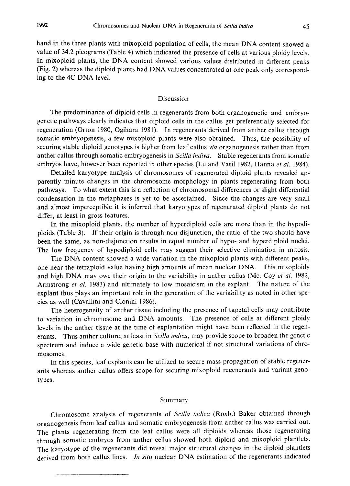hand in the three plants with mixoploid population of cells, the mean DNA content showed a value of 34.2 picograms (Table 4) which indicated the presence of cells at various ploidy levels. In mixoploid plants, the DNA content showed various values distributed in different peaks (Fig. 2) whereas the diploid plants had DNA values concentrated at one peak only correspond ing to the 4C DNA level.

## Discussion

The predominance of diploid cells in regenerants from both organogenetic and embryo genetic pathways clearly indicates that diploid cells in the callus get preferentially selected for regeneration (Orton 1980, Ogihara 1981). In regenerants derived from anther callus through somatic embryogenesis, a few mixoploid plants were also obtained. Thus, the possibility of securing stable diploid genotypes is higher from leaf callus via organogenesis rather than from anther callus through somatic embryogenesis in *Scilla indiva*. Stable regenerants from somatic embryos have, however been reported in other species (Lu and Vasil 1982, Hanna et al. 1984).

Detailed karyotype analysis of chromosomes of regenerated diploid plants revealed ap parently minute changes in the chromosome morphology in plants regenerating from both pathways. To what extent this is a reflection of chromosomal differences or slight differential condensation in the metaphases is yet to be ascertained. Since the changes are very small and almost imperceptible it is inferred that karyotypes of regenerated diploid plants do not differ, at least in gross features.

In the mixoploid plants, the number of hyperdiploid cells are more than in the hypodi ploids (Table 3). If their origin is through non-disjunction, the ratio of the two should have been the same, as non-disjunction results in equal number of hypo- and hyperdiploid nuclei. The low frequency of hypodiploid cells may suggest their selective elimination in mitosis.

The DNA content showed a wide variation in the mixoploid plants with different peaks, one near the tetraploid value having high amounts of mean nuclear DNA. This mixoploidy and high DNA may owe their origin to the variability in anther callus (Mc. Coy et al. 1982, Armstrong et al. 1983) and ultimately to low mosaicism in the explant. The nature of the explant thus plays an important role in the generation of the variability as noted in other spe cies as well (Cavallini and Cionini 1986).

The heterogeneity of anther tissue including the presence of tapetal cells may contribute to variation in chromosome and DNA amounts. The presence of cells at different ploidy levels in the anther tissue at the time of explantation might have been reflected in the regen erants. Thus anther culture, at least in Scilla indica, may provide scope to broaden the genetic spectrum and induce a wide genetic base with numerical if not structural variations of chro mosomes.

In this species, leaf explants can be utilized to secure mass propagation of stable regener ants whereas anther callus offers scope for securing mixoploid regenerants and variant geno types.

#### Summary

Chromosome analysis of regenerants of Scilla indica (Roxb.) Baker obtained through organogenesis from leaf callus and somatic embryogenesis from anther callus was carried out. The plants regenerating from the leaf callus were all diploids whereas those regenerating through somatic embryos from anther cellus showed both diploid and mixoploid plantlets. The karyotype of the regenerants did reveal major structural changes in the diploid plantlets derived from both callus lines. In situ nuclear DNA estimation of the regenerants indicated